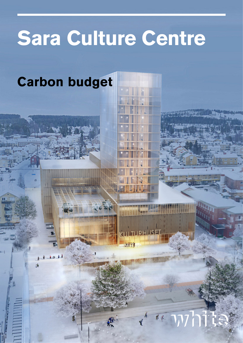## **Sara Culture Centre**

aril

### **Carbon budget**

子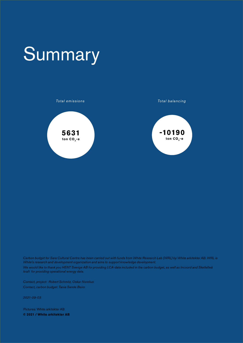### **Summary**



*Carbon budget for Sara Cultural Centre has been carried out with funds from White Research Lab (WRL) by White arkitekter AB. WRL is White's research and development organization and aims to support knowledge development.*

*We would like to thank you HENT Sverige AB for providing LCA-data included in the carbon budget, as well as Incoord and Skellefteå kraft for providing operational energy data.*

*Contact, project: Robert Schmitz, Oskar Norelius Contact, carbon budget: Tania Sande Beiro*

*2021-09-03*

Pictures: White arkitekter AB **© 2021 / White arkitekter AB**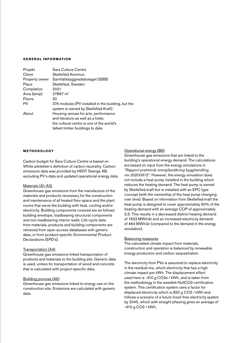### **GENERAL INFORMATION**

| Projekt        | Sara Culture Centre                                                                        |
|----------------|--------------------------------------------------------------------------------------------|
| Client         | Skellefteå Kommun                                                                          |
| Property owner | Samhällsbyggnadsbolaget (SBB)                                                              |
| Place          | Skellefteå, Sweden                                                                         |
| Completion     | 2021                                                                                       |
| Area (temp)    | $27867 \; \text{m}^2$                                                                      |
| Floors         | 20                                                                                         |
| PV             | 374 modules (PV installed in the building, but the<br>system is owned by Skellefteå Kraft) |
| About          | Housing venues for arts, performance                                                       |
|                | and literature as well as a hotel,                                                         |
|                | the cultural centre is one of the world's                                                  |
|                | tallest timber buildings to date.                                                          |

### **METHODOLOGY**

Carbon budget for Sara Culture Centre is based on White arkitekter´s definition of carbon neutrality. Carbon emissions data was provided by HENT Sverige AB, excluding PV´s data and updated operational energy data.

### Materials (A1-A3)

Greenhouse gas emissions from the manufacture of the materials and products necessary for the construction and maintenance of all heated floor space and the plant rooms that serve the building with heat, cooling and/or electricity. Building components covered are as follows: building envelope, loadbearing structural components and non-loadbearing interior walls. Life-cycle data from materials, products and building components are retrieved from open access databases with generic data, or from product-specific Environmental Product Declarations (EPD's).

### Transportation (A4)

Greenhouse gas emissions linked transportation of products and materials to the building site. Generic data is used, unless for transportation of wood and concrete that is calculated with project-specific data.

### Building process (A5)

Greenhouse gas emissions linked to energy use on the construction site. Emissions are calculated with generic data.

### Operational energy (B6)

Greenhouse gas emissions that are linked to the building's operational energy demand. The calculations are based on input from the energy simulations in "*Rapport preliminär energiberäkning bygghandling, rev 20200612*". However, the energy simulation does not include a heat pump installed in the building which reduces the heating demand. The heat pump is owned by Skellefteå kraft but is installed with an EPC type concept (with the ownership of the heat pump changing over time). Based on information from Skellefteå kraft the heat pump is designed to cover approximately 90% of the heating demand with an average COP of approximately 3,5. This results in a decreased district heating demand of 1623 MWh/år and an increased electricity demand of 464 MWh/år (compared to the demand in the energy simulation).

### Balancing measures

The calculated climate impact from materials, construction and operation is balanced by renewable energy production and carbon sequestration.

The electricity from PVs is assumed to replace electricity in the residual mix, which electricity that has a high climate impact per kWh. The displacement effect used here is -410 g CO2e / kWh, and is taken from the methodology in the swedish NollCO2 certification system. This certification system uses a factor for displaced electricity which is 820 g CO2 / kWh and follows a scenario of a future fossil-free electricity system by 2045, which with straight phasing gives an average of -410 g CO2 / kWh.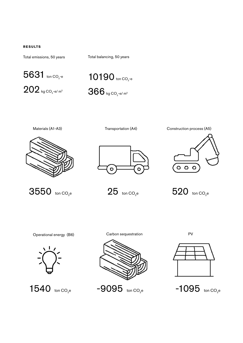### **RESULTS**

Total emissions, 50 years

Total balancing, 50 years



 $202$  kg CO<sub>2</sub>-e/m<sup>2</sup>





3550 ton CO<sub>2</sub>e

Operational energy (B6)









 $-9095$  ton CO<sub>2</sub>e  $-1095$  ton CO<sub>2</sub>e



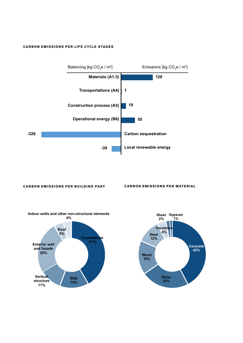### **CARBON EMISSIONS PER LIFE CYCLE STAGES**



### **CARBON EMISSIONS PER BUILDING PART CARBON EMISSIONS PER MATERIAL**